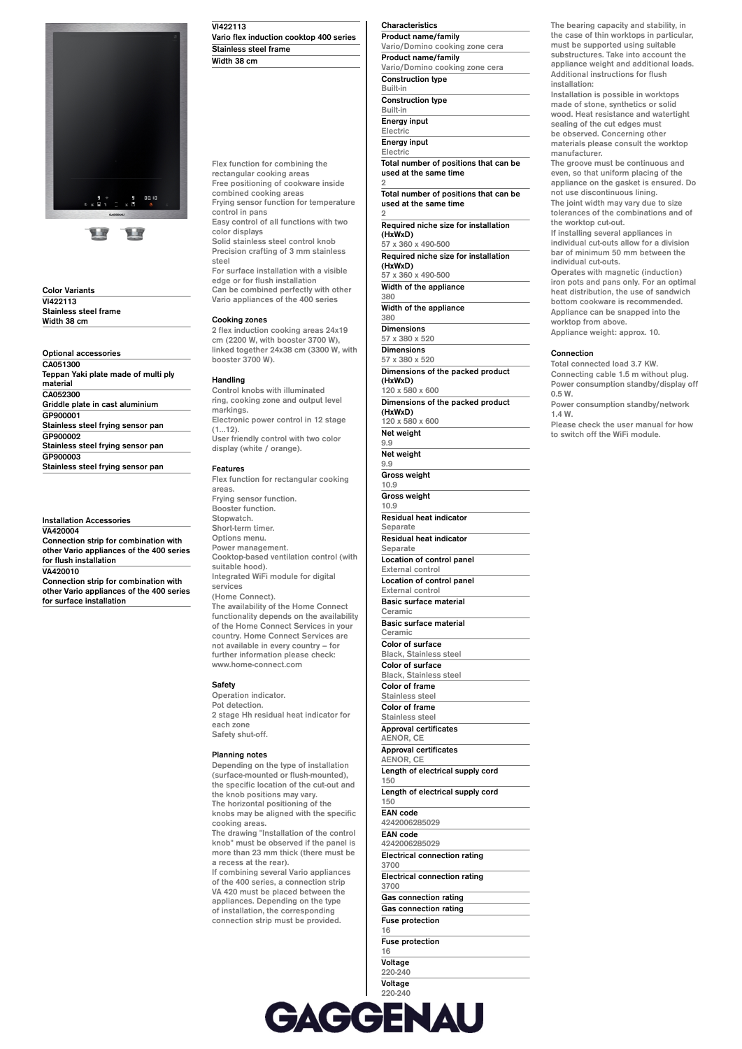

**Color Variants VI422113 Stainless steel frame Width 38 cm**

**Optional accessories CA051300 Teppan Yaki plate made of multi ply material CA052300 Griddle plate in cast aluminium GP900001 Stainless steel frying sensor pan GP900002 Stainless steel frying sensor pan GP900003 Stainless steel frying sensor pan**

**Installation Accessories**

**VA420004 Connection strip for combination with other Vario appliances of the 400 series for flush installation VA420010 Connection strip for combination with other Vario appliances of the 400 series for surface installation**

**VI422113 Vario flex induction cooktop 400 series Stainless steel frame Width 38 cm**

**Flex function for combining the rectangular cooking areas Free positioning of cookware inside combined cooking areas Frying sensor function for temperature control in pans Easy control of all functions with two color displays Solid stainless steel control knob Precision crafting of 3 mm stainless steel For surface installation with a visible edge or for flush installation Can be combined perfectly with other Vario appliances of the 400 series Cooking zones 2 flex induction cooking areas 24x19 cm (2200 W, with booster 3700 W), linked together 24x38 cm (3300 W, with**

# **booster 3700 W).**

### **Handling**

**Control knobs with illuminated ring, cooking zone and output level markings. Electronic power control in 12 stage (1…12). User friendly control with two color display (white / orange).**

#### **Features**

**Flex function for rectangular cooking areas. Frying sensor function. Booster function. Stopwatch. Short-term timer. Options menu. Power management. Cooktop-based ventilation control (with suitable hood). Integrated WiFi module for digital services (Home Connect). The availability of the Home Connect functionality depends on the availability of the Home Connect Services in your**

**country. Home Connect Services are not available in every country – for further information please check: www.home-connect.com**

**Safety**

**Operation indicator. Pot detection. 2 stage Hh residual heat indicator for each zone Safety shut-off.**

#### **Planning notes**

**Depending on the type of installation (surface-mounted or flush-mounted), the specific location of the cut-out and the knob positions may vary. The horizontal positioning of the knobs may be aligned with the specific cooking areas. The drawing "Installation of the control**

**knob" must be observed if the panel is more than 23 mm thick (there must be a recess at the rear).**

**If combining several Vario appliances of the 400 series, a connection strip VA 420 must be placed between the appliances. Depending on the type of installation, the corresponding connection strip must be provided.**

## **Characteristics**

**Product name/family Vario/Domino cooking zone cera Product name/family Vario/Domino cooking zone cera Construction type Built-in Construction type Built-in Energy input**

**Electric Energy input Electric**

**Total number of positions that can be used at the same time 2**

**Total number of positions that can be used at the same time**

**2 Required niche size for installation (HxWxD) 57 x 360 x 490-500**

**Required niche size for installation (HxWxD) 57 x 360 x 490-500**

**Width of the appliance 380**

**Width of the appliance**

**380 Dimensions**

**57 x 380 x 520 Dimensions 57 x 380 x 520 Dimensions of the packed product (HxWxD) 120 x 580 x 600**

**Dimensions of the packed product (HxWxD) 120 x 580 x 600**

**Net weight 9.9 Net weight 9.9 Gross weight**

**10.9 Gross weight**

**10.9 Residual heat indicator**

**Separate Residual heat indicator**

**Separate**

**Location of control panel External control** 

**Location of control panel**

**External control Basic surface material**

**Black, Stainless steel**

**Ceramic Basic surface material Ceramic Color of surface Black, Stainless steel Color of surface**

**Color of frame Stainless steel Color of frame Stainless steel**

**Approval certificates AENOR, CE Approval certificates AENOR, CE**

**Length of electrical supply cord 150**

**Length of electrical supply cord 150**

**EAN code 4242006285029**

**EAN code 4242006285029 Electrical connection rating**

**3700 Electrical connection rating 3700**

**Gas connection rating Gas connection rating Fuse protection 16**

**Fuse protection 16**

**Voltage 220-240 Voltage**

**220-240 Frequency 50; 60 Frequency 50; 60**

**The bearing capacity and stability, in the case of thin worktops in particular, must be supported using suitable substructures. Take into account the appliance weight and additional loads. Additional instructions for flush installation:**

**Installation is possible in worktops made of stone, synthetics or solid wood. Heat resistance and watertight sealing of the cut edges must be observed. Concerning other materials please consult the worktop manufacturer.**

**The groove must be continuous and even, so that uniform placing of the appliance on the gasket is ensured. Do not use discontinuous lining.**

**The joint width may vary due to size tolerances of the combinations and of the worktop cut-out. If installing several appliances in**

**individual cut-outs allow for a division bar of minimum 50 mm between the individual cut-outs.**

**Operates with magnetic (induction) iron pots and pans only. For an optimal heat distribution, the use of sandwich bottom cookware is recommended. Appliance can be snapped into the worktop from above. Appliance weight: approx. 10.**

#### **Connection**

**Total connected load 3.7 KW. Connecting cable 1.5 m without plug. Power consumption standby/display off 0.5 W. Power consumption standby/network 1.4 W.**

**Please check the user manual for how to switch off the WiFi module.**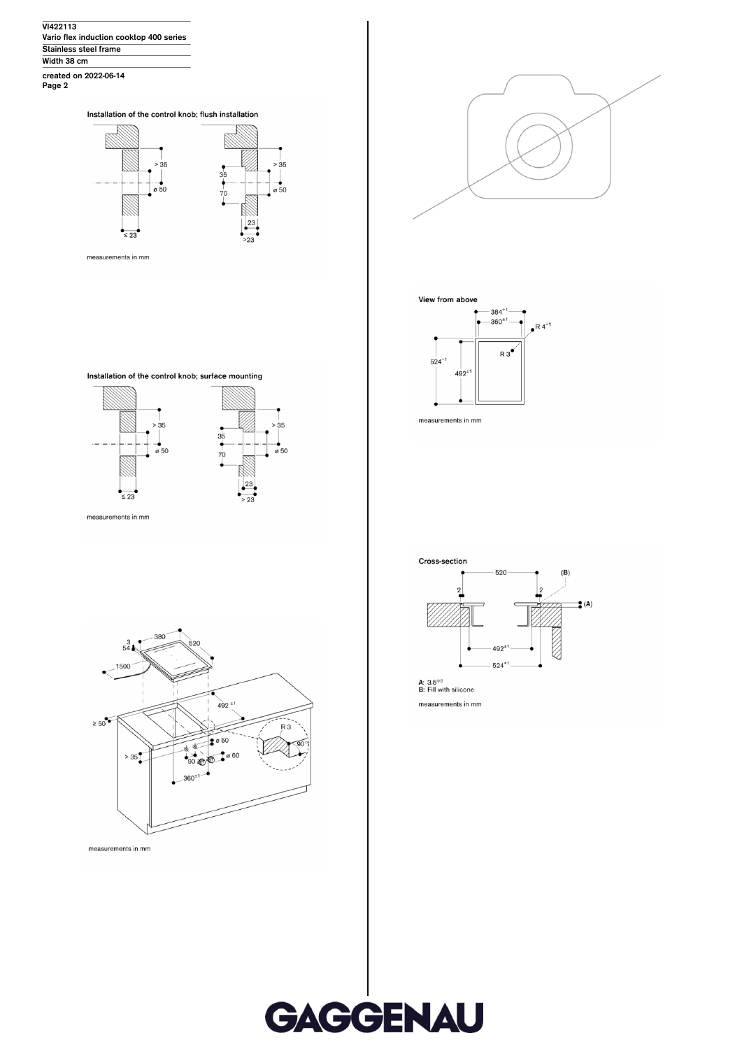**VI422113 Vario flex induction cooktop 400 series Stainless steel frame Width 38 cm**

**created on 2022-06-14 Page 2**

Installation of the control knob; flush installation



measurements in mm





Installation of the control knob; surface mounting









measurements in mm